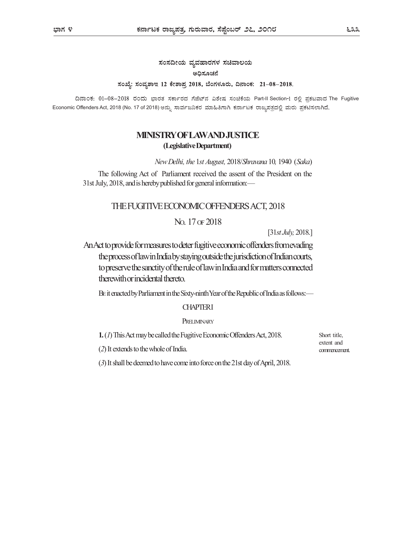ಸಂಸದೀಯ ವ್ಯವಹಾರಗಳ ಸಚಿವಾಲಯ ಅದಿಸೂಚನೆ ಸಂಖ್ಯೆ: ಸಂವ್ಯಶಾಇ 12 ಕೇಶಾಪ್ರ 2018, ಬೆಂಗಳೂರು, ದಿನಾಂಕ: 21-08-2018.

ದಿನಾಂಕ: 01-08-2018 ರಂದು ಭಾರತ ಸರ್ಕಾರದ ಗೆಜೆಟ್ನ್ ವಿಶೇಷ ಸಂಚಿಕೆಯ Part-II Section-1 ರಲ್ಲಿ ಪ್ರಕಟವಾದ The Fugitive Economic Offenders Act, 2018 (No. 17 of 2018) ಅನ್ನು ಸಾರ್ವಜನಿಕರ ಮಾಹಿತಿಗಾಗಿ ಕರ್ನಾಟಕ ರಾಜ್ಯಪತ್ರದಲ್ಲಿ ಮರು ಪ್ರಕಟಿಸಲಾಗಿದೆ.

# MINISTRY OF LAW AND JUSTICE (Legislative Department)

New Delhi, the 1st August, 2018/Shravana 10, 1940 (Saka)

The following Act of Parliament received the assent of the President on the 31st July, 2018, and is hereby published for general information:—

## THE FUGITIVE ECONOMIC OFFENDERS ACT, 2018

# NO. 17 OF 2018

[31st July, 2018.]

An Act to provide for measures to deter fugitive economic offenders from evading the process of law in India by staying outside the jurisdiction of Indian courts, to preserve the sanctity of the rule of law in India and for matters connected therewith or incidental thereto.

BE it enacted by Parliament in the Sixty-ninth Year of the Republic of India as follows:—

## **CHAPTERI**

### PRELIMINARY

1. (1) This Act may be called the Fugitive Economic Offenders Act, 2018.

(2) It extends to the whole of India.

Short title, extent and commencement.

(3) It shall be deemed to have come into force on the 21st day of April, 2018.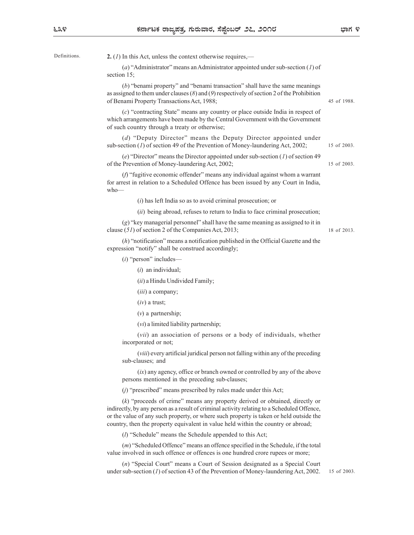೬೩೪

Definitions. **2.** (1) In this Act, unless the context otherwise requires,—

(a) "Administrator" means an Administrator appointed under sub-section (1) of section 15;

(b) "benami property" and "benami transaction" shall have the same meanings as assigned to them under clauses  $(8)$  and  $(9)$  respectively of section 2 of the Prohibition of Benami Property Transactions Act, 1988; Act, unless the context otherwise requires,—<br>
dministrator" means an Administrator appointed under sub-section (1) of<br>
enami property" and "benami transaction" shall have the same meanings<br>
othem under clauses (8) and (9)

(c) "contracting State" means any country or place outside India in respect of which arrangements have been made by the Central Government with the Government of such country through a treaty or otherwise; of the music claases to pair of proposerively of section 2 of the Fromotion<br>orientating State" means any country or place outside India in respect of<br>the correlation of the Correlation of Money-laundering Act, 2002;<br>Deput ontracting State" means any country or place outside India in respect of<br>generants have been made by the Central Government with the Government<br>truty through a treaty or otherwise;<br>Deputy Director" means the Deputy Direct

(d) "Deputy Director" means the Deputy Director appointed under sub-section (1) of section 49 of the Prevention of Money-laundering Act, 2002;

(e) "Director" means the Director appointed under sub-section (1) of section 49 of the Prevention of Money-laundering Act, 2002;

(f) "fugitive economic offender" means any individual against whom a warrant for arrest in relation to a Scheduled Offence has been issued by any Court in India, who— Deptivy Director means the Deptity Director and the Director appointed under<br>
(*l*) of section 49 of the Prevention of Money-laundering Act, 2002;<br>
its of 2003.<br>
irector "means the Director appointed under sub-section (*I* 

 $(i)$  has left India so as to avoid criminal prosecution; or

(g) "key managerial personnel" shall have the same meaning as assigned to it in clause (51) of section 2 of the Companies Act, 2013; 18 of 2013.

(h) "notification" means a notification published in the Official Gazette and the expression "notify" shall be construed accordingly;

(i) "person" includes—

(*iii*) a company;

 $(iv)$  a trust;

(vi) a limited liability partnership;

(vii) an association of persons or a body of individuals, whether incorporated or not;

(viii) every artificial juridical person not falling within any of the preceding sub-clauses; and

(ix) any agency, office or branch owned or controlled by any of the above persons mentioned in the preceding sub-clauses;

(j) "prescribed" means prescribed by rules made under this Act;

(k) "proceeds of crime" means any property derived or obtained, directly or indirectly, by any person as a result of criminal activity relating to a Scheduled Offence, or the value of any such property, or where such property is taken or held outside the country, then the property equivalent in value held within the country or abroad;

(l) "Schedule" means the Schedule appended to this Act;

(m) "Scheduled Offence" means an offence specified in the Schedule, if the total value involved in such offence or offences is one hundred crore rupees or more;

(n) "Special Court" means a Court of Session designated as a Special Court under sub-section (1) of section 43 of the Prevention of Money-laundering Act, 2002.

15 of 2003.

15 of 2003.

45 of 1988.

15 of 2003.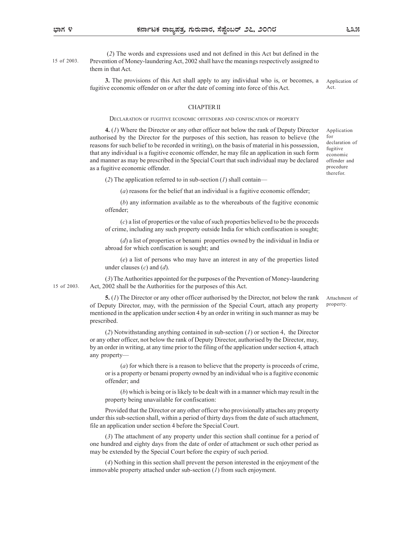(2) The words and expressions used and not defined in this Act but defined in the Prevention of Money-laundering Act, 2002 shall have the meanings respectively assigned to 15 of 2003. them in that Act.

3. The provisions of this Act shall apply to any individual who is, or becomes, a fugitive economic offender on or after the date of coming into force of this Act.

Application of Act.

#### CHAPTER II

**SERVE SET THE SERVE AND CONFISCATION**<br> **SERVERTHERATION** OF PROPERTIES ARE DURING THE SAND MORE THE DECONOMIC OF THE PROVISION OF THE PROVISION OF THE PROVISION OF THE PROVISION OF THE PROPERTY<br>
DECLARATION OF THE ARE AR 4. (1) Where the Director or any other officer not below the rank of Deputy Director authorised by the Director for the purposes of this section, has reason to believe (the reasons for such belief to be recorded in writing), on the basis of material in his possession, that any individual is a fugitive economic offender, he may file an application in such form and manner as may be prescribed in the Special Court that such individual may be declared as a fugitive economic offender.

(2) The application referred to in sub-section  $(I)$  shall contain—

(a) reasons for the belief that an individual is a fugitive economic offender;

(b) any information available as to the whereabouts of the fugitive economic offender;

(c) a list of properties or the value of such properties believed to be the proceeds of crime, including any such property outside India for which confiscation is sought;

(d) a list of properties or benami properties owned by the individual in India or abroad for which confiscation is sought; and

(e) a list of persons who may have an interest in any of the properties listed under clauses  $(c)$  and  $(d)$ .

(3) The Authorities appointed for the purposes of the Prevention of Money-laundering Act, 2002 shall be the Authorities for the purposes of this Act. 15 of 2003.

> 5. (1) The Director or any other officer authorised by the Director, not below the rank of Deputy Director, may, with the permission of the Special Court, attach any property mentioned in the application under section 4 by an order in writing in such manner as may be prescribed.

> (2) Notwithstanding anything contained in sub-section (1) or section 4, the Director or any other officer, not below the rank of Deputy Director, authorised by the Director, may, by an order in writing, at any time prior to the filing of the application under section 4, attach any property—

(a) for which there is a reason to believe that the property is proceeds of crime, or is a property or benami property owned by an individual who is a fugitive economic offender; and

(b) which is being or is likely to be dealt with in a manner which may result in the property being unavailable for confiscation:

Provided that the Director or any other officer who provisionally attaches any property under this sub-section shall, within a period of thirty days from the date of such attachment, file an application under section 4 before the Special Court.

(3) The attachment of any property under this section shall continue for a period of one hundred and eighty days from the date of order of attachment or such other period as may be extended by the Special Court before the expiry of such period.

(4) Nothing in this section shall prevent the person interested in the enjoyment of the immovable property attached under sub-section (1) from such enjoyment.

for declaration of fugitive economic offender and procedure therefor.

Attachment of property.

Application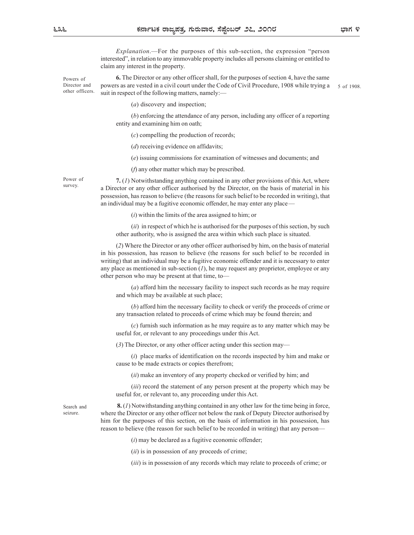Explanation.—For the purposes of this sub-section, the expression "person interested", in relation to any immovable property includes all persons claiming or entitled to claim any interest in the property.

Powers of **6.** The Director or any other officer shall, for the purposes of section 4, have the same Director and powers as are vested in a civil court under the Code of Civil Procedure, 1908 while trying  $a = 5$  of 1908. suit in respect of the following matters, namely:— other officers. 5 of 1908.

(a) discovery and inspection;

(b) enforcing the attendance of any person, including any officer of a reporting entity and examining him on oath;

(c) compelling the production of records;

(*d*) receiving evidence on affidavits;

(e) issuing commissions for examination of witnesses and documents; and

(f) any other matter which may be prescribed.

Power of  $7. (1)$  Notwithstanding anything contained in any other provisions of this Act, where survey.<br>
a Director or any other officer authorised by the Director, on the basis of material in his possession, has reason to believe (the reasons for such belief to be recorded in writing), that an individual may be a fugitive economic offender, he may enter any place—

 $(i)$  within the limits of the area assigned to him; or

 $(ii)$  in respect of which he is authorised for the purposes of this section, by such other authority, who is assigned the area within which such place is situated.

(2) Where the Director or any other officer authorised by him, on the basis of material in his possession, has reason to believe (the reasons for such belief to be recorded in writing) that an individual may be a fugitive economic offender and it is necessary to enter any place as mentioned in sub-section  $(I)$ , he may request any proprietor, employee or any other person who may be present at that time, to—

(a) afford him the necessary facility to inspect such records as he may require and which may be available at such place;

(b) afford him the necessary facility to check or verify the proceeds of crime or any transaction related to proceeds of crime which may be found therein; and

(c) furnish such information as he may require as to any matter which may be useful for, or relevant to any proceedings under this Act.

(3) The Director, or any other officer acting under this section may—

(i) place marks of identification on the records inspected by him and make or cause to be made extracts or copies therefrom;

(ii) make an inventory of any property checked or verified by him; and

(*iii*) record the statement of any person present at the property which may be useful for, or relevant to, any proceeding under this Act.

seizure.

Search and  $\mathbf{8}.$  (1) Notwithstanding anything contained in any other law for the time being in force, where the Director or any other officer not below the rank of Deputy Director authorised by him for the purposes of this section, on the basis of information in his possession, has reason to believe (the reason for such belief to be recorded in writing) that any person—

 $(i)$  may be declared as a fugitive economic offender;

 $(ii)$  is in possession of any proceeds of crime;

(*iii*) is in possession of any records which may relate to proceeds of crime; or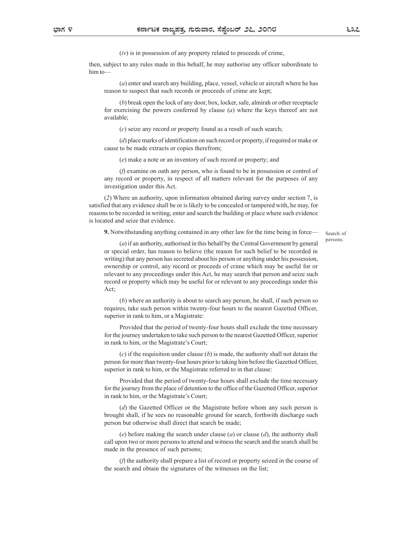$(iv)$  is in possession of any property related to proceeds of crime,

then, subject to any rules made in this behalf, he may authorise any officer subordinate to him to—

(a) enter and search any building, place, vessel, vehicle or aircraft where he has reason to suspect that such records or proceeds of crime are kept;

(b) break open the lock of any door, box, locker, safe, almirah or other receptacle for exercising the powers conferred by clause  $(a)$  where the keys thereof are not available;

(c) seize any record or property found as a result of such search;

(d) place marks of identification on such record or property, if required or make or cause to be made extracts or copies therefrom;

(e) make a note or an inventory of such record or property; and

(f) examine on oath any person, who is found to be in possession or control of any record or property, in respect of all matters relevant for the purposes of any investigation under this Act.

(2) Where an authority, upon information obtained during survey under section 7, is satisfied that any evidence shall be or is likely to be concealed or tampered with, he may, for reasons to be recorded in writing, enter and search the building or place where such evidence is located and seize that evidence.

9. Notwithstanding anything contained in any other law for the time being in force—

Search of persons.

(a) if an authority, authorised in this behalf by the Central Government by general or special order, has reason to believe (the reason for such belief to be recorded in writing) that any person has secreted about his person or anything under his possession, ownership or control, any record or proceeds of crime which may be useful for or relevant to any proceedings under this Act, he may search that person and seize such record or property which may be useful for or relevant to any proceedings under this Act;

(b) where an authority is about to search any person, he shall, if such person so requires, take such person within twenty-four hours to the nearest Gazetted Officer, superior in rank to him, or a Magistrate:

Provided that the period of twenty-four hours shall exclude the time necessary for the journey undertaken to take such person to the nearest Gazetted Officer, superior in rank to him, or the Magistrate's Court;

(c) if the requisition under clause  $(b)$  is made, the authority shall not detain the person for more than twenty-four hours prior to taking him before the Gazetted Officer, superior in rank to him, or the Magistrate referred to in that clause:

Provided that the period of twenty-four hours shall exclude the time necessary for the journey from the place of detention to the office of the Gazetted Officer, superior in rank to him, or the Magistrate's Court;

(d) the Gazetted Officer or the Magistrate before whom any such person is brought shall, if he sees no reasonable ground for search, forthwith discharge such person but otherwise shall direct that search be made;

(e) before making the search under clause  $(a)$  or clause  $(d)$ , the authority shall call upon two or more persons to attend and witness the search and the search shall be made in the presence of such persons;

(f) the authority shall prepare a list of record or property seized in the course of the search and obtain the signatures of the witnesses on the list;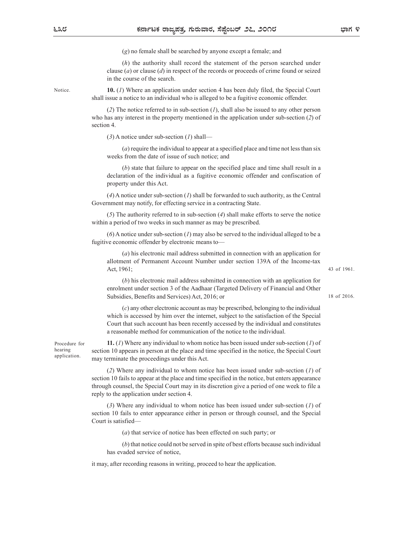(g) no female shall be searched by anyone except a female; and

(h) the authority shall record the statement of the person searched under clause  $(a)$  or clause  $(d)$  in respect of the records or proceeds of crime found or seized in the course of the search.

Notice. **10.** (*I*) Where an application under section 4 has been duly filed, the Special Court shall issue a notice to an individual who is alleged to be a fugitive economic offender.

> (2) The notice referred to in sub-section  $(I)$ , shall also be issued to any other person who has any interest in the property mentioned in the application under sub-section (2) of section 4.

 $(3)$  A notice under sub-section  $(1)$  shall—

(a) require the individual to appear at a specified place and time not less than six weeks from the date of issue of such notice; and

(b) state that failure to appear on the specified place and time shall result in a declaration of the individual as a fugitive economic offender and confiscation of property under this Act.

 $(4)$  A notice under sub-section (1) shall be forwarded to such authority, as the Central Government may notify, for effecting service in a contracting State.

(5) The authority referred to in sub-section (4) shall make efforts to serve the notice within a period of two weeks in such manner as may be prescribed.

 $(6)$  A notice under sub-section  $(1)$  may also be served to the individual alleged to be a fugitive economic offender by electronic means to—

(a) his electronic mail address submitted in connection with an application for allotment of Permanent Account Number under section 139A of the Income-tax Act, 1961;

43 of 1961.

18 of 2016.

(b) his electronic mail address submitted in connection with an application for enrolment under section 3 of the Aadhaar (Targeted Delivery of Financial and Other Subsidies, Benefits and Services) Act, 2016; or

(c) any other electronic account as may be prescribed, belonging to the individual which is accessed by him over the internet, subject to the satisfaction of the Special (a) two two standary are accounted by the modifical subsects from the date of issue of such points; and the specified place and time shall result in a (b) state that failure to appear on the specified place and time shall a reasonable method for communication of the notice to the individual.

Procedure for **11.** (*I*) Where any individual to whom notice has been issued under sub-section (*I*) of section 10 appears in person at the place and time specified in the notice, the Special Court hearing may terminate the proceedings under this Act.

> (2) Where any individual to whom notice has been issued under sub-section (1) of section 10 fails to appear at the place and time specified in the notice, but enters appearance through counsel, the Special Court may in its discretion give a period of one week to file a reply to the application under section 4.

> (3) Where any individual to whom notice has been issued under sub-section (1) of section 10 fails to enter appearance either in person or through counsel, and the Special Court is satisfied—

> > (a) that service of notice has been effected on such party; or

(b) that notice could not be served in spite of best efforts because such individual has evaded service of notice,

it may, after recording reasons in writing, proceed to hear the application.

application.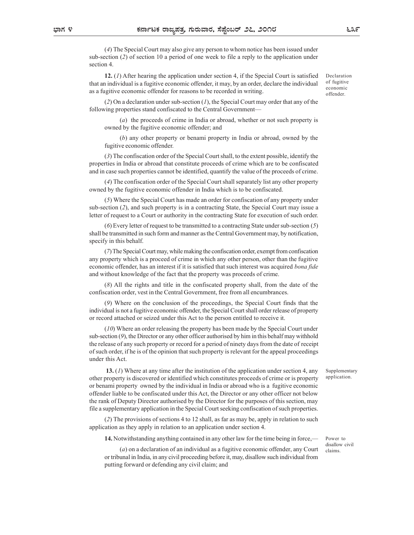(4) The Special Court may also give any person to whom notice has been issued under sub-section (2) of section 10 a period of one week to file a reply to the application under section 4.

12. (1) After hearing the application under section 4, if the Special Court is satisfied that an individual is a fugitive economic offender, it may, by an order, declare the individual as a fugitive economic offender for reasons to be recorded in writing.

Declaration of fugitive economic offender.

(2) On a declaration under sub-section  $(1)$ , the Special Court may order that any of the following properties stand confiscated to the Central Government—

(a) the proceeds of crime in India or abroad, whether or not such property is owned by the fugitive economic offender; and

(b) any other property or benami property in India or abroad, owned by the fugitive economic offender.

(3) The confiscation order of the Special Court shall, to the extent possible, identify the properties in India or abroad that constitute proceeds of crime which are to be confiscated and in case such properties cannot be identified, quantify the value of the proceeds of crime.

(4) The confiscation order of the Special Court shall separately list any other property owned by the fugitive economic offender in India which is to be confiscated.

(5) Where the Special Court has made an order for confiscation of any property under sub-section (2), and such property is in a contracting State, the Special Court may issue a letter of request to a Court or authority in the contracting State for execution of such order.

(6) Every letter of request to be transmitted to a contracting State under sub-section (5) shall be transmitted in such form and manner as the Central Government may, by notification, specify in this behalf.

(7) The Special Court may, while making the confiscation order, exempt from confiscation any property which is a proceed of crime in which any other person, other than the fugitive economic offender, has an interest if it is satisfied that such interest was acquired bona fide and without knowledge of the fact that the property was proceeds of crime.

(8) All the rights and title in the confiscated property shall, from the date of the confiscation order, vest in the Central Government, free from all encumbrances.

(9) Where on the conclusion of the proceedings, the Special Court finds that the individual is not a fugitive economic offender, the Special Court shall order release of property or record attached or seized under this Act to the person entitled to receive it.

(10) Where an order releasing the property has been made by the Special Court under sub-section  $(9)$ , the Director or any other officer authorised by him in this behalf may withhold the release of any such property or record for a period of ninety days from the date of receipt of such order, if he is of the opinion that such property is relevant for the appeal proceedings under this Act.

> Supplementary application.

Power to disallow civil claims.

13. (1) Where at any time after the institution of the application under section 4, any other property is discovered or identified which constitutes proceeds of crime or is property or benami property owned by the individual in India or abroad who is a fugitive economic offender liable to be confiscated under this Act, the Director or any other officer not below the rank of Deputy Director authorised by the Director for the purposes of this section, may file a supplementary application in the Special Court seeking confiscation of such properties.

(2) The provisions of sections 4 to 12 shall, as far as may be, apply in relation to such application as they apply in relation to an application under section 4.

14. Notwithstanding anything contained in any other law for the time being in force,—

(a) on a declaration of an individual as a fugitive economic offender, any Court or tribunal in India, in any civil proceeding before it, may, disallow such individual from putting forward or defending any civil claim; and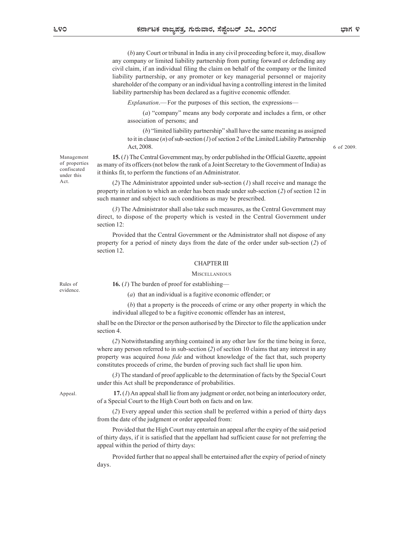(b) any Court or tribunal in India in any civil proceeding before it, may, disallow any company or limited liability partnership from putting forward or defending any civil claim, if an individual filing the claim on behalf of the company or the limited liability partnership, or any promoter or key managerial personnel or majority shareholder of the company or an individual having a controlling interest in the limited liability partnership has been declared as a fugitive economic offender. **Explanation.**<br> **Explore the purpose of the purpose of the purpose of the purpose of the purpose of the purpose of the purpose of the purpose of the purpose of the purpose of the purpose of the purpose of the expression o** 

(a) "company" means any body corporate and includes a firm, or other association of persons; and

(b) "limited liability partnership" shall have the same meaning as assigned to it in clause  $(n)$  of sub-section (1) of section 2 of the Limited Liability Partnership Act, 2008.

Management **15.** (*I*) The Central Government may, by order published in the Official Gazette, appoint as many of its officers (not below the rank of a Joint Secretary to the Government of India) as of properties it thinks fit, to perform the functions of an Administrator. confiscated under this  $\frac{1}{2}$  it thinks in, to perform the

Act. (2) The Administrator appointed under sub-section (*I*) shall receive and manage the property in relation to which an order has been made under sub-section (2) of section 12 in such manner and subject to such conditions as may be prescribed.

(3) The Administrator shall also take such measures, as the Central Government may direct, to dispose of the property which is vested in the Central Government under section 12:

Provided that the Central Government or the Administrator shall not dispose of any property for a period of ninety days from the date of the order under sub-section (2) of section 12.

#### CHAPTER III

#### **MISCELLANEOUS**

Rules of  $\qquad 16. (I)$  The burden of proof for establishing—

(a) that an individual is a fugitive economic offender; or

(b) that a property is the proceeds of crime or any other property in which the individual alleged to be a fugitive economic offender has an interest,

shall be on the Director or the person authorised by the Director to file the application under section 4.

(2) Notwithstanding anything contained in any other law for the time being in force, where any person referred to in sub-section  $(2)$  of section 10 claims that any interest in any property was acquired bona fide and without knowledge of the fact that, such property constitutes proceeds of crime, the burden of proving such fact shall lie upon him.

(3) The standard of proof applicable to the determination of facts by the Special Court under this Act shall be preponderance of probabilities.

Appeal. **17.** (*I*) An appeal shall lie from any judgment or order, not being an interlocutory order, of a Special Court to the High Court both on facts and on law.

> (2) Every appeal under this section shall be preferred within a period of thirty days from the date of the judgment or order appealed from:

> Provided that the High Court may entertain an appeal after the expiry of the said period of thirty days, if it is satisfied that the appellant had sufficient cause for not preferring the appeal within the period of thirty days:

> Provided further that no appeal shall be entertained after the expiry of period of ninety days.

6 of 2009.

# evidence.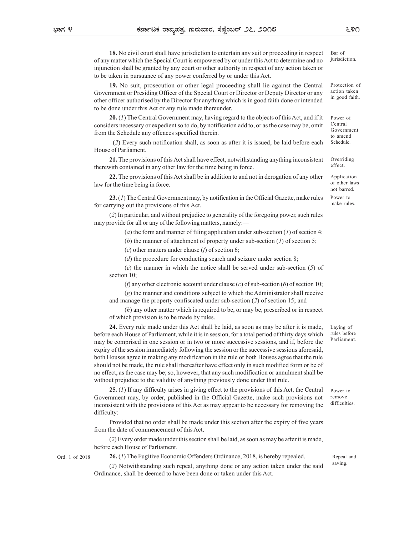18. No civil court shall have jurisdiction to entertain any suit or proceeding in respect of any matter which the Special Court is empowered by or under this Act to determine and no injunction shall be granted by any court or other authority in respect of any action taken or to be taken in pursuance of any power conferred by or under this Act. **EXECT THE SPECT CONDETERT OF THE SPECT OF CONDETCATE OF CONDETCATE OF THE SPECIAL COURT ARE SPECIAL COURT OF THE SPECIAL COURT OF THE SPECIAL COURT OF THE SPECIAL COURT OF THE SPECIAL COURT OF THE SPECIAL COURT OF THE SP** Bar of jurisdiction.

19. No suit, prosecution or other legal proceeding shall lie against the Central other officer authorised by the Director for anything which is in good faith done or intended to be done under this Act or any rule made thereunder.

20. (1) The Central Government may, having regard to the objects of this Act, and if it considers necessary or expedient so to do, by notification add to, or as the case may be, omit from the Schedule any offences specified therein.

 (2) Every such notification shall, as soon as after it is issued, be laid before each House of Parliament.

21. The provisions of this Act shall have effect, notwithstanding anything inconsistent therewith contained in any other law for the time being in force.

22. The provisions of this Act shall be in addition to and not in derogation of any other law for the time being in force.

23. (1) The Central Government may, by notification in the Official Gazette, make rules for carrying out the provisions of this Act.

(2) In particular, and without prejudice to generality of the foregoing power, such rules may provide for all or any of the following matters, namely:—

(a) the form and manner of filing application under sub-section (1) of section 4;

(b) the manner of attachment of property under sub-section  $(1)$  of section 5;

(c) other matters under clause (f) of section 6;

(d) the procedure for conducting search and seizure under section 8;

(e) the manner in which the notice shall be served under sub-section (5) of section 10;

(f) any other electronic account under clause (c) of sub-section (6) of section 10;

(g) the manner and conditions subject to which the Administrator shall receive and manage the property confiscated under sub-section (2) of section 15; and

(h) any other matter which is required to be, or may be, prescribed or in respect of which provision is to be made by rules.

24. Every rule made under this Act shall be laid, as soon as may be after it is made, before each House of Parliament, while it is in session, for a total period of thirty days which may be comprised in one session or in two or more successive sessions, and if, before the expiry of the session immediately following the session or the successive sessions aforesaid, both Houses agree in making any modification in the rule or both Houses agree that the rule should not be made, the rule shall thereafter have effect only in such modified form or be of no effect, as the case may be; so, however, that any such modification or annulment shall be without prejudice to the validity of anything previously done under that rule.

25. (1) If any difficulty arises in giving effect to the provisions of this Act, the Central Government may, by order, published in the Official Gazette, make such provisions not inconsistent with the provisions of this Act as may appear to be necessary for removing the difficulty:

Provided that no order shall be made under this section after the expiry of five years from the date of commencement of this Act.

(2) Every order made under this section shall be laid, as soon as may be after it is made, before each House of Parliament.

Ord. 1 of 2018

26. (1) The Fugitive Economic Offenders Ordinance, 2018, is hereby repealed.

(2) Notwithstanding such repeal, anything done or any action taken under the said Ordinance, shall be deemed to have been done or taken under this Act.

Power to remove difficulties.

Repeal and saving.

Protection of action taken

in good faith.

Power of Central Government

to amend Schedule.

Overriding effect.

Application of other laws not barred. Power to make rules.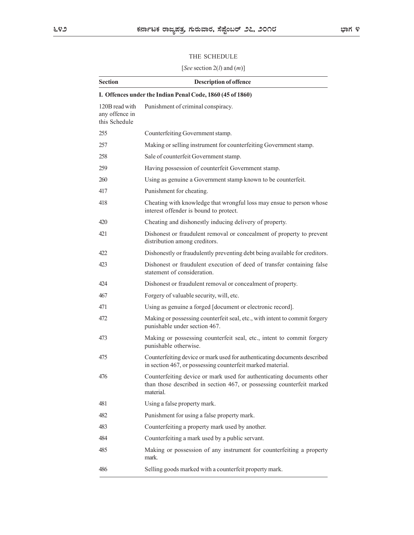# THE SCHEDULE

|                                                   | THE SCHEDULE                                                                                                                                                |  |
|---------------------------------------------------|-------------------------------------------------------------------------------------------------------------------------------------------------------------|--|
|                                                   | [See section $2(l)$ and $(m)$ ]                                                                                                                             |  |
| <b>Section</b>                                    | <b>Description of offence</b>                                                                                                                               |  |
|                                                   | I. Offences under the Indian Penal Code, 1860 (45 of 1860)                                                                                                  |  |
| 120B read with<br>any offence in<br>this Schedule | Punishment of criminal conspiracy.                                                                                                                          |  |
| 255                                               | Counterfeiting Government stamp.                                                                                                                            |  |
| 257                                               | Making or selling instrument for counterfeiting Government stamp.                                                                                           |  |
| 258                                               | Sale of counterfeit Government stamp.                                                                                                                       |  |
| 259                                               | Having possession of counterfeit Government stamp.                                                                                                          |  |
| 260                                               | Using as genuine a Government stamp known to be counterfeit.                                                                                                |  |
| 417                                               | Punishment for cheating.                                                                                                                                    |  |
| 418                                               | Cheating with knowledge that wrongful loss may ensue to person whose<br>interest offender is bound to protect.                                              |  |
| 420                                               | Cheating and dishonestly inducing delivery of property.                                                                                                     |  |
| 421                                               | Dishonest or fraudulent removal or concealment of property to prevent<br>distribution among creditors.                                                      |  |
| 422                                               | Dishonestly or fraudulently preventing debt being available for creditors.                                                                                  |  |
| 423                                               | Dishonest or fraudulent execution of deed of transfer containing false<br>statement of consideration.                                                       |  |
| 424                                               | Dishonest or fraudulent removal or concealment of property.                                                                                                 |  |
| 467                                               | Forgery of valuable security, will, etc.                                                                                                                    |  |
| 471                                               | Using as genuine a forged [document or electronic record].                                                                                                  |  |
| 472                                               | Making or possessing counterfeit seal, etc., with intent to commit forgery<br>punishable under section 467.                                                 |  |
| 473                                               | Making or possessing counterfeit seal, etc., intent to commit forgery<br>punishable otherwise.                                                              |  |
| 475                                               | Counterfeiting device or mark used for authenticating documents described<br>in section 467, or possessing counterfeit marked material.                     |  |
| 476                                               | Counterfeiting device or mark used for authenticating documents other<br>than those described in section 467, or possessing counterfeit marked<br>material. |  |
| 481                                               | Using a false property mark.                                                                                                                                |  |
| 482                                               | Punishment for using a false property mark.                                                                                                                 |  |
| 483                                               | Counterfeiting a property mark used by another.                                                                                                             |  |
| 484                                               | Counterfeiting a mark used by a public servant.                                                                                                             |  |
| 485                                               | Making or possession of any instrument for counterfeiting a property<br>mark.                                                                               |  |
| 486                                               | Selling goods marked with a counterfeit property mark.                                                                                                      |  |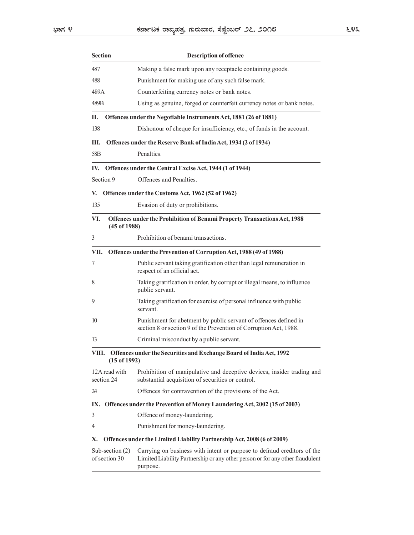|                                    | ಕರ್ನಾಟಕ ರಾಜ್ಯಪತ್ರ, ಗುರುವಾರ, ಸೆಪ್ಷೆಂಬರ್ ೨೭, ೨೦೧೮                                                                                                                      |
|------------------------------------|----------------------------------------------------------------------------------------------------------------------------------------------------------------------|
|                                    |                                                                                                                                                                      |
| <b>Section</b>                     | <b>Description of offence</b>                                                                                                                                        |
| 487                                | Making a false mark upon any receptacle containing goods.                                                                                                            |
| 488                                | Punishment for making use of any such false mark.                                                                                                                    |
| 489A<br>489B                       | Counterfeiting currency notes or bank notes.<br>Using as genuine, forged or counterfeit currency notes or bank notes.                                                |
| П.                                 |                                                                                                                                                                      |
| 138                                | Offences under the Negotiable Instruments Act, 1881 (26 of 1881)<br>Dishonour of cheque for insufficiency, etc., of funds in the account.                            |
| Ш.                                 | Offences under the Reserve Bank of India Act, 1934 (2 of 1934)                                                                                                       |
| 58B                                | Penalties.                                                                                                                                                           |
|                                    | IV. Offences under the Central Excise Act, 1944 (1 of 1944)                                                                                                          |
| Section 9                          | Offences and Penalties.                                                                                                                                              |
|                                    | V. Offences under the Customs Act, 1962 (52 of 1962)                                                                                                                 |
| 135                                | Evasion of duty or prohibitions.                                                                                                                                     |
| VI.                                | Offences under the Prohibition of Benami Property Transactions Act, 1988                                                                                             |
| (45 of 1988)                       |                                                                                                                                                                      |
| 3                                  | Prohibition of benami transactions.                                                                                                                                  |
| VII.                               | Offences under the Prevention of Corruption Act, 1988 (49 of 1988)                                                                                                   |
| 7                                  | Public servant taking gratification other than legal remuneration in<br>respect of an official act.                                                                  |
| 8                                  | Taking gratification in order, by corrupt or illegal means, to influence<br>public servant.                                                                          |
| 9                                  | Taking gratification for exercise of personal influence with public<br>servant.                                                                                      |
| 10                                 | Punishment for abetment by public servant of offences defined in<br>section 8 or section 9 of the Prevention of Corruption Act, 1988.                                |
| 13                                 | Criminal misconduct by a public servant.                                                                                                                             |
| $(15$ of $1992)$                   | VIII. Offences under the Securities and Exchange Board of India Act, 1992                                                                                            |
| 12A read with<br>section 24        | Prohibition of manipulative and deceptive devices, insider trading and<br>substantial acquisition of securities or control.                                          |
| 24                                 | Offences for contravention of the provisions of the Act.                                                                                                             |
|                                    | IX. Offences under the Prevention of Money Laundering Act, 2002 (15 of 2003)                                                                                         |
| 3                                  | Offence of money-laundering.                                                                                                                                         |
| 4                                  | Punishment for money-laundering.                                                                                                                                     |
| Х.                                 | Offences under the Limited Liability Partnership Act, 2008 (6 of 2009)                                                                                               |
| Sub-section $(2)$<br>of section 30 | Carrying on business with intent or purpose to defraud creditors of the<br>Limited Liability Partnership or any other person or for any other fraudulent<br>purpose. |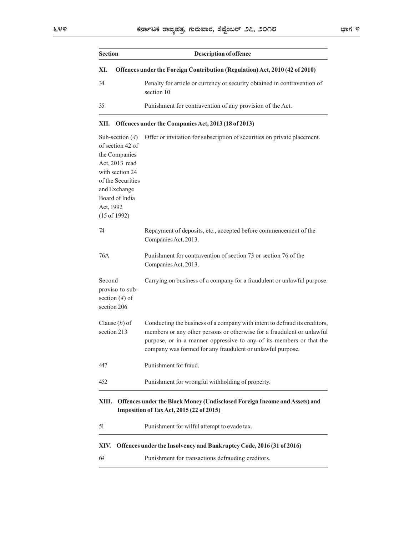|                                                                                                                                                                                   | ಕರ್ನಾಟಕ ರಾಜ್ಯಪತ್ರ, ಗುರುವಾರ, ಸೆಪ್ಷೆಂಬರ್ ೨೭, ೨೦೧೮                                                                                                                                                                                                                                            | ಭಾಗ ೪ |
|-----------------------------------------------------------------------------------------------------------------------------------------------------------------------------------|--------------------------------------------------------------------------------------------------------------------------------------------------------------------------------------------------------------------------------------------------------------------------------------------|-------|
| <b>Section</b>                                                                                                                                                                    | <b>Description of offence</b>                                                                                                                                                                                                                                                              |       |
| XI.                                                                                                                                                                               | Offences under the Foreign Contribution (Regulation) Act, 2010 (42 of 2010)                                                                                                                                                                                                                |       |
| 34                                                                                                                                                                                | Penalty for article or currency or security obtained in contravention of<br>section 10.                                                                                                                                                                                                    |       |
| 35                                                                                                                                                                                | Punishment for contravention of any provision of the Act.                                                                                                                                                                                                                                  |       |
| XII.                                                                                                                                                                              | Offences under the Companies Act, 2013 (18 of 2013)                                                                                                                                                                                                                                        |       |
| Sub-section $(4)$<br>of section 42 of<br>the Companies<br>Act, 2013 read<br>with section 24<br>of the Securities<br>and Exchange<br>Board of India<br>Act, 1992<br>$(15$ of 1992) | Offer or invitation for subscription of securities on private placement.                                                                                                                                                                                                                   |       |
| 74                                                                                                                                                                                | Repayment of deposits, etc., accepted before commencement of the<br>Companies Act, 2013.                                                                                                                                                                                                   |       |
| 76A                                                                                                                                                                               | Punishment for contravention of section 73 or section 76 of the<br>Companies Act, 2013.                                                                                                                                                                                                    |       |
| Second<br>proviso to sub-<br>section $(4)$ of<br>section 206                                                                                                                      | Carrying on business of a company for a fraudulent or unlawful purpose.                                                                                                                                                                                                                    |       |
| Clause $(b)$ of<br>section 213                                                                                                                                                    | Conducting the business of a company with intent to defraud its creditors,<br>members or any other persons or otherwise for a fraudulent or unlawful<br>purpose, or in a manner oppressive to any of its members or that the<br>company was formed for any fraudulent or unlawful purpose. |       |
| 447                                                                                                                                                                               | Punishment for fraud.                                                                                                                                                                                                                                                                      |       |
| 452                                                                                                                                                                               | Punishment for wrongful withholding of property.                                                                                                                                                                                                                                           |       |
| XIII.                                                                                                                                                                             | Offences under the Black Money (Undisclosed Foreign Income and Assets) and<br>Imposition of Tax Act, 2015 (22 of 2015)                                                                                                                                                                     |       |
| 51                                                                                                                                                                                | Punishment for wilful attempt to evade tax.                                                                                                                                                                                                                                                |       |
| XIV.                                                                                                                                                                              | Offences under the Insolvency and Bankruptcy Code, 2016 (31 of 2016)                                                                                                                                                                                                                       |       |
| 69                                                                                                                                                                                | Punishment for transactions defrauding creditors.                                                                                                                                                                                                                                          |       |